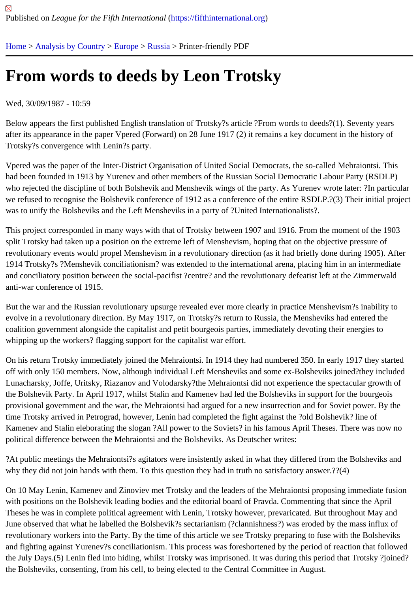## [Fro](https://fifthinternational.org/)[m words to](https://fifthinternational.org/category/1) [dee](https://fifthinternational.org/category/1/128)[ds b](https://fifthinternational.org/category/1/128/166)y Leon Trotsky

Wed, 30/09/1987 - 10:59

Below appears the first published English translation of Trotsky?s article ?From words to deeds?(1). Seventy years after its appearance in the paper Vpered (Forward) on 28 June 1917 (2) it remains a key document in the history c Trotsky?s convergence with Lenin?s party.

Vpered was the paper of the Inter-District Organisation of United Social Democrats, the so-called Mehraiontsi. This had been founded in 1913 by Yurenev and other members of the Russian Social Democratic Labour Party (RSDL who rejected the discipline of both Bolshevik and Menshevik wings of the party. As Yurenev wrote later: ?In particu we refused to recognise the Bolshevik conference of 1912 as a conference of the entire RSDLP.?(3) Their initial p was to unify the Bolsheviks and the Left Mensheviks in a party of ?United Internationalists?.

This project corresponded in many ways with that of Trotsky between 1907 and 1916. From the moment of the 19 split Trotsky had taken up a position on the extreme left of Menshevism, hoping that on the objective pressure of revolutionary events would propel Menshevism in a revolutionary direction (as it had briefly done during 1905). Aft 1914 Trotsky?s ?Menshevik conciliationism? was extended to the international arena, placing him in an intermedia and conciliatory position between the social-pacifist ?centre? and the revolutionary defeatist left at the Zimmerwald anti-war conference of 1915.

But the war and the Russian revolutionary upsurge revealed ever more clearly in practice Menshevism?s inability evolve in a revolutionary direction. By May 1917, on Trotsky?s return to Russia, the Mensheviks had entered the coalition government alongside the capitalist and petit bourgeois parties, immediately devoting their energies to whipping up the workers? flagging support for the capitalist war effort.

On his return Trotsky immediately joined the Mehraiontsi. In 1914 they had numbered 350. In early 1917 they star off with only 150 members. Now, although individual Left Mensheviks and some ex-Bolsheviks joined?they include Lunacharsky, Joffe, Uritsky, Riazanov and Volodarsky?the Mehraiontsi did not experience the spectacular growth the Bolshevik Party. In April 1917, whilst Stalin and Kamenev had led the Bolsheviks in support for the bourgeois provisional government and the war, the Mehraiontsi had argued for a new insurrection and for Soviet power. By tl time Trotsky arrived in Petrograd, however, Lenin had completed the fight against the ?old Bolshevik? line of Kamenev and Stalin eleborating the slogan ?All power to the Soviets? in his famous April Theses. There was now political difference between the Mehraiontsi and the Bolsheviks. As Deutscher writes:

?At public meetings the Mehraiontsi?s agitators were insistently asked in what they differed from the Bolsheviks an why they did not join hands with them. To this question they had in truth no satisfactory answer.??(4)

On 10 May Lenin, Kamenev and Zinoviev met Trotsky and the leaders of the Mehraiontsi proposing immediate fust with positions on the Bolshevik leading bodies and the editorial board of Pravda. Commenting that since the April Theses he was in complete political agreement with Lenin, Trotsky however, prevaricated. But throughout May and June observed that what he labelled the Bolshevik?s sectarianism (?clannishness?) was eroded by the mass influ revolutionary workers into the Party. By the time of this article we see Trotsky preparing to fuse with the Bolsheviks and fighting against Yurenev?s conciliationism. This process was foreshortened by the period of reaction that follo the July Days.(5) Lenin fled into hiding, whilst Trotsky was imprisoned. It was during this period that Trotsky ?joine the Bolsheviks, consenting, from his cell, to being elected to the Central Committee in August.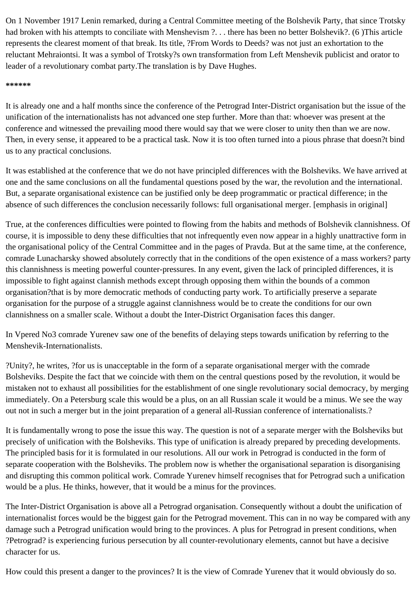On 1 November 1917 Lenin remarked, during a Central Committee meeting of the Bolshevik Party, that since Trotsky had broken with his attempts to conciliate with Menshevism ?. . . there has been no better Bolshevik?. (6 )This article represents the clearest moment of that break. Its title, ?From Words to Deeds? was not just an exhortation to the reluctant Mehraiontsi. It was a symbol of Trotsky?s own transformation from Left Menshevik publicist and orator to leader of a revolutionary combat party.The translation is by Dave Hughes.

## **\*\*\*\*\*\***

It is already one and a half months since the conference of the Petrograd Inter-District organisation but the issue of the unification of the internationalists has not advanced one step further. More than that: whoever was present at the conference and witnessed the prevailing mood there would say that we were closer to unity then than we are now. Then, in every sense, it appeared to be a practical task. Now it is too often turned into a pious phrase that doesn?t bind us to any practical conclusions.

It was established at the conference that we do not have principled differences with the Bolsheviks. We have arrived at one and the same conclusions on all the fundamental questions posed by the war, the revolution and the international. But, a separate organisational existence can be justified only be deep programmatic or practical difference; in the absence of such differences the conclusion necessarily follows: full organisational merger. [emphasis in original]

True, at the conferences difficulties were pointed to flowing from the habits and methods of Bolshevik clannishness. Of course, it is impossible to deny these difficulties that not infrequently even now appear in a highly unattractive form in the organisational policy of the Central Committee and in the pages of Pravda. But at the same time, at the conference, comrade Lunacharsky showed absolutely correctly that in the conditions of the open existence of a mass workers? party this clannishness is meeting powerful counter-pressures. In any event, given the lack of principled differences, it is impossible to fight against clannish methods except through opposing them within the bounds of a common organisation?that is by more democratic methods of conducting party work. To artificially preserve a separate organisation for the purpose of a struggle against clannishness would be to create the conditions for our own clannishness on a smaller scale. Without a doubt the Inter-District Organisation faces this danger.

In Vpered No3 comrade Yurenev saw one of the benefits of delaying steps towards unification by referring to the Menshevik-Internationalists.

?Unity?, he writes, ?for us is unacceptable in the form of a separate organisational merger with the comrade Bolsheviks. Despite the fact that we coincide with them on the central questions posed by the revolution, it would be mistaken not to exhaust all possibilities for the establishment of one single revolutionary social democracy, by merging immediately. On a Petersburg scale this would be a plus, on an all Russian scale it would be a minus. We see the way out not in such a merger but in the joint preparation of a general all-Russian conference of internationalists.?

It is fundamentally wrong to pose the issue this way. The question is not of a separate merger with the Bolsheviks but precisely of unification with the Bolsheviks. This type of unification is already prepared by preceding developments. The principled basis for it is formulated in our resolutions. All our work in Petrograd is conducted in the form of separate cooperation with the Bolsheviks. The problem now is whether the organisational separation is disorganising and disrupting this common political work. Comrade Yurenev himself recognises that for Petrograd such a unification would be a plus. He thinks, however, that it would be a minus for the provinces.

The Inter-District Organisation is above all a Petrograd organisation. Consequently without a doubt the unification of internationalist forces would be the biggest gain for the Petrograd movement. This can in no way be compared with any damage such a Petrograd unification would bring to the provinces. A plus for Petrograd in present conditions, when ?Petrograd? is experiencing furious persecution by all counter-revolutionary elements, cannot but have a decisive character for us.

How could this present a danger to the provinces? It is the view of Comrade Yurenev that it would obviously do so.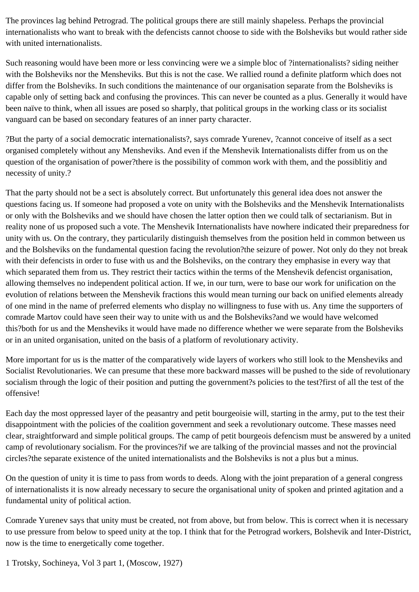The provinces lag behind Petrograd. The political groups there are still mainly shapeless. Perhaps the provincial internationalists who want to break with the defencists cannot choose to side with the Bolsheviks but would rather side with united internationalists.

Such reasoning would have been more or less convincing were we a simple bloc of ?internationalists? siding neither with the Bolsheviks nor the Mensheviks. But this is not the case. We rallied round a definite platform which does not differ from the Bolsheviks. In such conditions the maintenance of our organisation separate from the Bolsheviks is capable only of setting back and confusing the provinces. This can never be counted as a plus. Generally it would have been naïve to think, when all issues are posed so sharply, that political groups in the working class or its socialist vanguard can be based on secondary features of an inner party character.

?But the party of a social democratic internationalists?, says comrade Yurenev, ?cannot conceive of itself as a sect organised completely without any Mensheviks. And even if the Menshevik Internationalists differ from us on the question of the organisation of power?there is the possibility of common work with them, and the possiblitiy and necessity of unity.?

That the party should not be a sect is absolutely correct. But unfortunately this general idea does not answer the questions facing us. If someone had proposed a vote on unity with the Bolsheviks and the Menshevik Internationalists or only with the Bolsheviks and we should have chosen the latter option then we could talk of sectarianism. But in reality none of us proposed such a vote. The Menshevik Internationalists have nowhere indicated their preparedness for unity with us. On the contrary, they particularily distinguish themselves from the position held in common between us and the Bolsheviks on the fundamental question facing the revolution?the seizure of power. Not only do they not break with their defencists in order to fuse with us and the Bolsheviks, on the contrary they emphasise in every way that which separated them from us. They restrict their tactics within the terms of the Menshevik defencist organisation, allowing themselves no independent political action. If we, in our turn, were to base our work for unification on the evolution of relations between the Menshevik fractions this would mean turning our back on unified elements already of one mind in the name of preferred elements who display no willingness to fuse with us. Any time the supporters of comrade Martov could have seen their way to unite with us and the Bolsheviks?and we would have welcomed this?both for us and the Mensheviks it would have made no difference whether we were separate from the Bolsheviks or in an united organisation, united on the basis of a platform of revolutionary activity.

More important for us is the matter of the comparatively wide layers of workers who still look to the Mensheviks and Socialist Revolutionaries. We can presume that these more backward masses will be pushed to the side of revolutionary socialism through the logic of their position and putting the government?s policies to the test?first of all the test of the offensive!

Each day the most oppressed layer of the peasantry and petit bourgeoisie will, starting in the army, put to the test their disappointment with the policies of the coalition government and seek a revolutionary outcome. These masses need clear, straightforward and simple political groups. The camp of petit bourgeois defencism must be answered by a united camp of revolutionary socialism. For the provinces?if we are talking of the provincial masses and not the provincial circles?the separate existence of the united internationalists and the Bolsheviks is not a plus but a minus.

On the question of unity it is time to pass from words to deeds. Along with the joint preparation of a general congress of internationalists it is now already necessary to secure the organisational unity of spoken and printed agitation and a fundamental unity of political action.

Comrade Yurenev says that unity must be created, not from above, but from below. This is correct when it is necessary to use pressure from below to speed unity at the top. I think that for the Petrograd workers, Bolshevik and Inter-District, now is the time to energetically come together.

1 Trotsky, Sochineya, Vol 3 part 1, (Moscow, 1927)